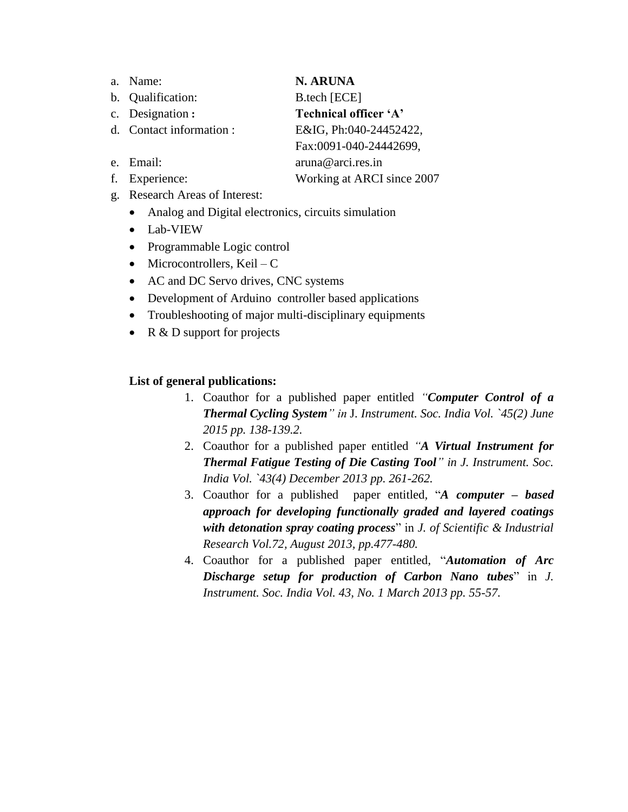- a. Name: **N. ARUNA**
- b. Qualification: B.tech [ECE]

c. Designation **: Technical officer 'A'**

d. Contact information : E&IG, Ph:040-24452422,

e. Email: aruna@arci.res.in f. Experience: Working at ARCI since 2007

Fax:0091-040-24442699,

- g. Research Areas of Interest:
	- Analog and Digital electronics, circuits simulation
	- Lab-VIEW
	- Programmable Logic control
	- Microcontrollers, Keil  $C$
	- AC and DC Servo drives, CNC systems
	- Development of Arduino controller based applications
	- Troubleshooting of major multi-disciplinary equipments
	- R & D support for projects

## **List of general publications:**

- 1. Coauthor for a published paper entitled *"Computer Control of a Thermal Cycling System" in* J*. Instrument. Soc. India Vol. `45(2) June 2015 pp. 138-139.2.*
- 2. Coauthor for a published paper entitled *"A Virtual Instrument for Thermal Fatigue Testing of Die Casting Tool" in J. Instrument. Soc. India Vol. `43(4) December 2013 pp. 261-262.*
- 3. Coauthor for a published paper entitled*,* "*A computer – based approach for developing functionally graded and layered coatings with detonation spray coating process*" in *J. of Scientific & Industrial Research Vol.72, August 2013, pp.477-480.*
- 4. Coauthor for a published paper entitled*,* "*Automation of Arc Discharge setup for production of Carbon Nano tubes*" in *J. Instrument. Soc. India Vol. 43, No. 1 March 2013 pp. 55-57.*